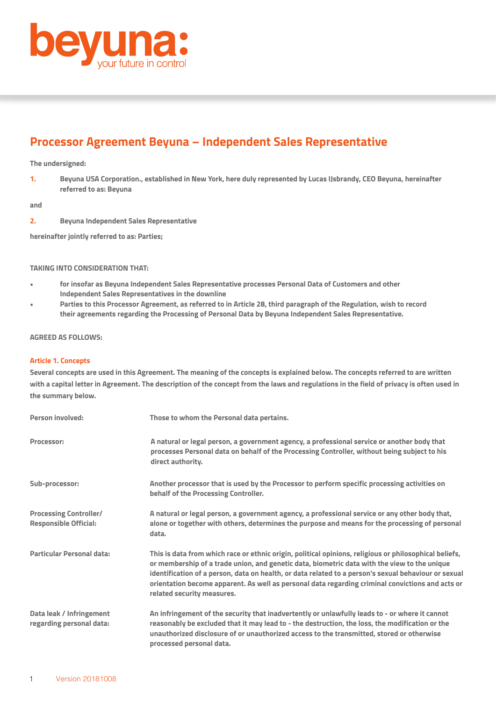

## **Processor Agreement Beyuna – Independent Sales Representative**

### **The undersigned:**

**1. Beyuna USA Corporation., established in New York, here duly represented by Lucas IJsbrandy, CEO Beyuna, hereinafter referred to as: Beyuna**

**and**

**2. Beyuna Independent Sales Representative**

**hereinafter jointly referred to as: Parties;**

## **TAKING INTO CONSIDERATION THAT:**

- **for insofar as Beyuna Independent Sales Representative processes Personal Data of Customers and other Independent Sales Representatives in the downline**
- **Parties to this Processor Agreement, as referred to in Article 28, third paragraph of the Regulation, wish to record their agreements regarding the Processing of Personal Data by Beyuna Independent Sales Representative.**

## **AGREED AS FOLLOWS:**

## **Article 1. Concepts**

**Several concepts are used in this Agreement. The meaning of the concepts is explained below. The concepts referred to are written with a capital letter in Agreement. The description of the concept from the laws and regulations in the field of privacy is often used in the summary below.**

| Person involved:                                              | Those to whom the Personal data pertains.                                                                                                                                                                                                                                                                                                                                                                                                        |
|---------------------------------------------------------------|--------------------------------------------------------------------------------------------------------------------------------------------------------------------------------------------------------------------------------------------------------------------------------------------------------------------------------------------------------------------------------------------------------------------------------------------------|
| Processor:                                                    | A natural or legal person, a government agency, a professional service or another body that<br>processes Personal data on behalf of the Processing Controller, without being subject to his<br>direct authority.                                                                                                                                                                                                                                 |
| Sub-processor:                                                | Another processor that is used by the Processor to perform specific processing activities on<br>behalf of the Processing Controller.                                                                                                                                                                                                                                                                                                             |
| <b>Processing Controller/</b><br><b>Responsible Official:</b> | A natural or legal person, a government agency, a professional service or any other body that,<br>alone or together with others, determines the purpose and means for the processing of personal<br>data.                                                                                                                                                                                                                                        |
| Particular Personal data:                                     | This is data from which race or ethnic origin, political opinions, religious or philosophical beliefs,<br>or membership of a trade union, and genetic data, biometric data with the view to the unique<br>identification of a person, data on health, or data related to a person's sexual behaviour or sexual<br>orientation become apparent. As well as personal data regarding criminal convictions and acts or<br>related security measures. |
| Data leak / Infringement<br>regarding personal data:          | An infringement of the security that inadvertently or unlawfully leads to - or where it cannot<br>reasonably be excluded that it may lead to - the destruction, the loss, the modification or the<br>unauthorized disclosure of or unauthorized access to the transmitted, stored or otherwise<br>processed personal data.                                                                                                                       |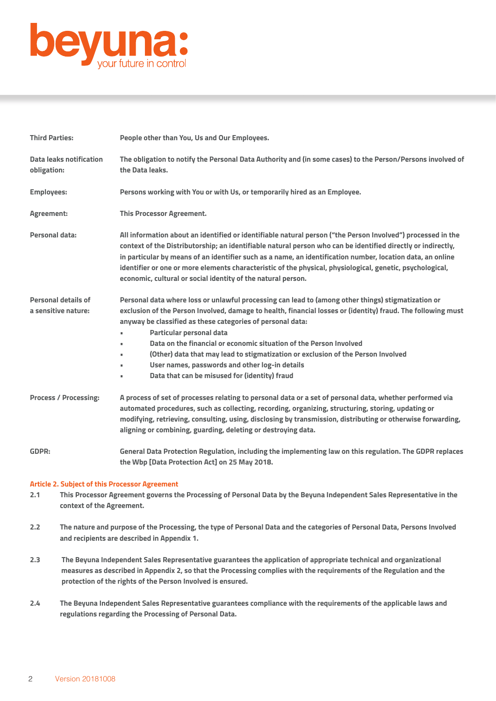

| <b>Third Parties:</b>                             | People other than You, Us and Our Employees.                                                                                                                                                                                                                                                                                                                                                                                                                                                                                                                                              |
|---------------------------------------------------|-------------------------------------------------------------------------------------------------------------------------------------------------------------------------------------------------------------------------------------------------------------------------------------------------------------------------------------------------------------------------------------------------------------------------------------------------------------------------------------------------------------------------------------------------------------------------------------------|
| <b>Data leaks notification</b><br>obligation:     | The obligation to notify the Personal Data Authority and (in some cases) to the Person/Persons involved of<br>the Data leaks.                                                                                                                                                                                                                                                                                                                                                                                                                                                             |
| <b>Employees:</b>                                 | Persons working with You or with Us, or temporarily hired as an Employee.                                                                                                                                                                                                                                                                                                                                                                                                                                                                                                                 |
| Agreement:                                        | <b>This Processor Agreement.</b>                                                                                                                                                                                                                                                                                                                                                                                                                                                                                                                                                          |
| <b>Personal data:</b>                             | All information about an identified or identifiable natural person ("the Person Involved") processed in the<br>context of the Distributorship; an identifiable natural person who can be identified directly or indirectly,<br>in particular by means of an identifier such as a name, an identification number, location data, an online<br>identifier or one or more elements characteristic of the physical, physiological, genetic, psychological,<br>economic, cultural or social identity of the natural person.                                                                    |
| <b>Personal details of</b><br>a sensitive nature: | Personal data where loss or unlawful processing can lead to (among other things) stigmatization or<br>exclusion of the Person Involved, damage to health, financial losses or (identity) fraud. The following must<br>anyway be classified as these categories of personal data:<br>Particular personal data<br>٠<br>Data on the financial or economic situation of the Person Involved<br>(Other) data that may lead to stigmatization or exclusion of the Person Involved<br>×.<br>User names, passwords and other log-in details<br>٠<br>Data that can be misused for (identity) fraud |
| <b>Process / Processing:</b>                      | A process of set of processes relating to personal data or a set of personal data, whether performed via<br>automated procedures, such as collecting, recording, organizing, structuring, storing, updating or<br>modifying, retrieving, consulting, using, disclosing by transmission, distributing or otherwise forwarding,<br>aligning or combining, guarding, deleting or destroying data.                                                                                                                                                                                            |
| <b>GDPR:</b>                                      | General Data Protection Regulation, including the implementing law on this regulation. The GDPR replaces<br>the Wbp [Data Protection Act] on 25 May 2018.                                                                                                                                                                                                                                                                                                                                                                                                                                 |

#### **Article 2. Subject of this Processor Agreement**

- **2.1 This Processor Agreement governs the Processing of Personal Data by the Beyuna Independent Sales Representative in the context of the Agreement.**
- **2.2 The nature and purpose of the Processing, the type of Personal Data and the categories of Personal Data, Persons Involved and recipients are described in Appendix 1.**
- **2.3 The Beyuna Independent Sales Representative guarantees the application of appropriate technical and organizational measures as described in Appendix 2, so that the Processing complies with the requirements of the Regulation and the protection of the rights of the Person Involved is ensured.**
- **2.4 The Beyuna Independent Sales Representative guarantees compliance with the requirements of the applicable laws and regulations regarding the Processing of Personal Data.**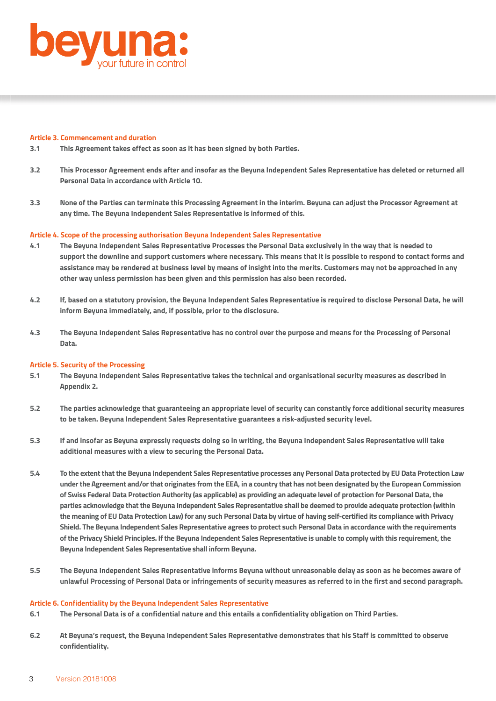

#### **Article 3. Commencement and duration**

- **3.1 This Agreement takes effect as soon as it has been signed by both Parties.**
- **3.2 This Processor Agreement ends after and insofar as the Beyuna Independent Sales Representative has deleted or returned all Personal Data in accordance with Article 10.**
- **3.3 None of the Parties can terminate this Processing Agreement in the interim. Beyuna can adjust the Processor Agreement at any time. The Beyuna Independent Sales Representative is informed of this.**

#### **Article 4. Scope of the processing authorisation Beyuna Independent Sales Representative**

- **4.1 The Beyuna Independent Sales Representative Processes the Personal Data exclusively in the way that is needed to support the downline and support customers where necessary. This means that it is possible to respond to contact forms and assistance may be rendered at business level by means of insight into the merits. Customers may not be approached in any other way unless permission has been given and this permission has also been recorded.**
- **4.2 If, based on a statutory provision, the Beyuna Independent Sales Representative is required to disclose Personal Data, he will inform Beyuna immediately, and, if possible, prior to the disclosure.**
- **4.3 The Beyuna Independent Sales Representative has no control over the purpose and means for the Processing of Personal Data.**

#### **Article 5. Security of the Processing**

- **5.1 The Beyuna Independent Sales Representative takes the technical and organisational security measures as described in Appendix 2.**
- **5.2 The parties acknowledge that guaranteeing an appropriate level of security can constantly force additional security measures to be taken. Beyuna Independent Sales Representative guarantees a risk-adjusted security level.**
- **5.3 If and insofar as Beyuna expressly requests doing so in writing, the Beyuna Independent Sales Representative will take additional measures with a view to securing the Personal Data.**
- **5.4 To the extent that the Beyuna Independent Sales Representative processes any Personal Data protected by EU Data Protection Law under the Agreement and/or that originates from the EEA, in a country that has not been designated by the European Commission of Swiss Federal Data Protection Authority (as applicable) as providing an adequate level of protection for Personal Data, the parties acknowledge that the Beyuna Independent Sales Representative shall be deemed to provide adequate protection (within the meaning of EU Data Protection Law) for any such Personal Data by virtue of having self-certified its compliance with Privacy Shield. The Beyuna Independent Sales Representative agrees to protect such Personal Data in accordance with the requirements of the Privacy Shield Principles. If the Beyuna Independent Sales Representative is unable to comply with this requirement, the Beyuna Independent Sales Representative shall inform Beyuna.**
- **5.5 The Beyuna Independent Sales Representative informs Beyuna without unreasonable delay as soon as he becomes aware of unlawful Processing of Personal Data or infringements of security measures as referred to in the first and second paragraph.**

#### **Article 6. Confidentiality by the Beyuna Independent Sales Representative**

- **6.1 The Personal Data is of a confidential nature and this entails a confidentiality obligation on Third Parties.**
- **6.2 At Beyuna's request, the Beyuna Independent Sales Representative demonstrates that his Staff is committed to observe confidentiality.**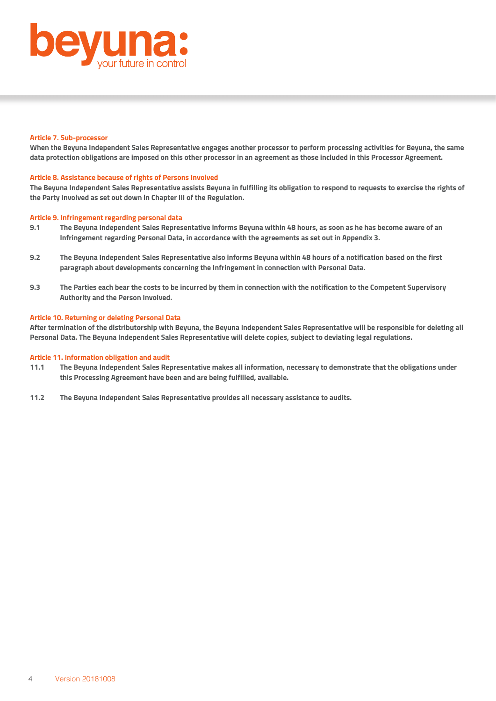

#### **Article 7. Sub-processor**

**When the Beyuna Independent Sales Representative engages another processor to perform processing activities for Beyuna, the same data protection obligations are imposed on this other processor in an agreement as those included in this Processor Agreement.** 

## **Article 8. Assistance because of rights of Persons Involved**

**The Beyuna Independent Sales Representative assists Beyuna in fulfilling its obligation to respond to requests to exercise the rights of the Party Involved as set out down in Chapter III of the Regulation.** 

#### **Article 9. Infringement regarding personal data**

- **9.1 The Beyuna Independent Sales Representative informs Beyuna within 48 hours, as soon as he has become aware of an Infringement regarding Personal Data, in accordance with the agreements as set out in Appendix 3.**
- **9.2 The Beyuna Independent Sales Representative also informs Beyuna within 48 hours of a notification based on the first paragraph about developments concerning the Infringement in connection with Personal Data.**
- **9.3 The Parties each bear the costs to be incurred by them in connection with the notification to the Competent Supervisory Authority and the Person Involved.**

#### **Article 10. Returning or deleting Personal Data**

**After termination of the distributorship with Beyuna, the Beyuna Independent Sales Representative will be responsible for deleting all Personal Data. The Beyuna Independent Sales Representative will delete copies, subject to deviating legal regulations.** 

#### **Article 11. Information obligation and audit**

- **11.1 The Beyuna Independent Sales Representative makes all information, necessary to demonstrate that the obligations under this Processing Agreement have been and are being fulfilled, available.**
- **11.2 The Beyuna Independent Sales Representative provides all necessary assistance to audits.**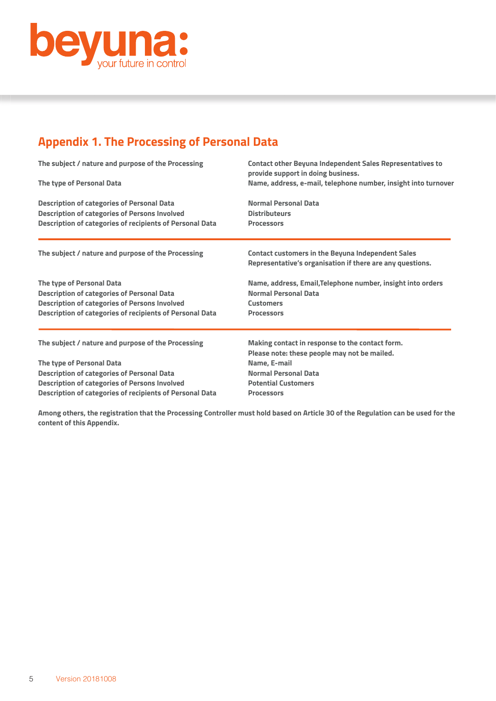

# **Appendix 1. The Processing of Personal Data**

| The subject / nature and purpose of the Processing              | <b>Contact other Beyuna Independent Sales Representatives to</b><br>provide support in doing business.<br>Name, address, e-mail, telephone number, insight into turnover |  |
|-----------------------------------------------------------------|--------------------------------------------------------------------------------------------------------------------------------------------------------------------------|--|
| The type of Personal Data                                       |                                                                                                                                                                          |  |
| <b>Description of categories of Personal Data</b>               | <b>Normal Personal Data</b>                                                                                                                                              |  |
| <b>Description of categories of Persons Involved</b>            | <b>Distributeurs</b>                                                                                                                                                     |  |
| <b>Description of categories of recipients of Personal Data</b> | <b>Processors</b>                                                                                                                                                        |  |
| The subject / nature and purpose of the Processing              | <b>Contact customers in the Beyuna Independent Sales</b>                                                                                                                 |  |
|                                                                 | Representative's organisation if there are any questions.                                                                                                                |  |
| The type of Personal Data                                       | Name, address, Email, Telephone number, insight into orders                                                                                                              |  |
| <b>Description of categories of Personal Data</b>               | <b>Normal Personal Data</b>                                                                                                                                              |  |
| <b>Description of categories of Persons Involved</b>            | <b>Customers</b>                                                                                                                                                         |  |
| <b>Description of categories of recipients of Personal Data</b> | <b>Processors</b>                                                                                                                                                        |  |
| The subject / nature and purpose of the Processing              | Making contact in response to the contact form.                                                                                                                          |  |
|                                                                 | Please note: these people may not be mailed.                                                                                                                             |  |
| The type of Personal Data                                       | Name, E-mail                                                                                                                                                             |  |
| <b>Description of categories of Personal Data</b>               | <b>Normal Personal Data</b>                                                                                                                                              |  |
| <b>Description of categories of Persons Involved</b>            | <b>Potential Customers</b>                                                                                                                                               |  |
| <b>Description of categories of recipients of Personal Data</b> | <b>Processors</b>                                                                                                                                                        |  |

**Among others, the registration that the Processing Controller must hold based on Article 30 of the Regulation can be used for the content of this Appendix.**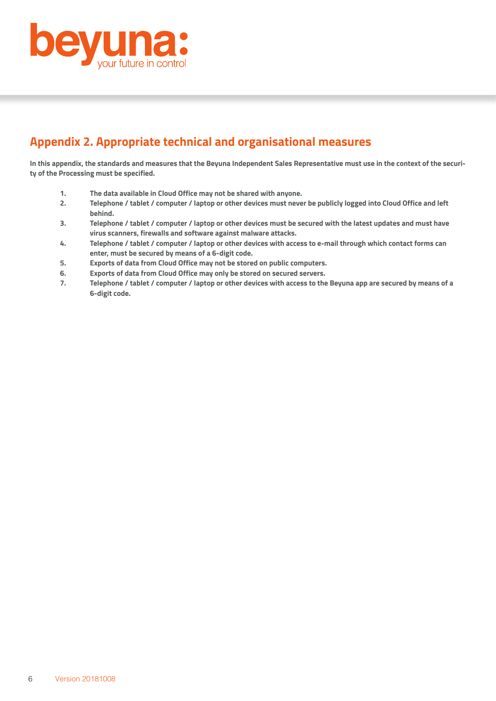

## **Appendix 2. Appropriate technical and organisational measures**

**In this appendix, the standards and measures that the Beyuna Independent Sales Representative must use in the context of the security of the Processing must be specified.** 

- **1. The data available in Cloud Office may not be shared with anyone.**
- **2. Telephone / tablet / computer / laptop or other devices must never be publicly logged into Cloud Office and left behind.**
- **3. Telephone / tablet / computer / laptop or other devices must be secured with the latest updates and must have virus scanners, firewalls and software against malware attacks.**
- **4. Telephone / tablet / computer / laptop or other devices with access to e-mail through which contact forms can enter, must be secured by means of a 6-digit code.**
- **5. Exports of data from Cloud Office may not be stored on public computers.**
- **6. Exports of data from Cloud Office may only be stored on secured servers.**
- **7. Telephone / tablet / computer / laptop or other devices with access to the Beyuna app are secured by means of a 6-digit code.**